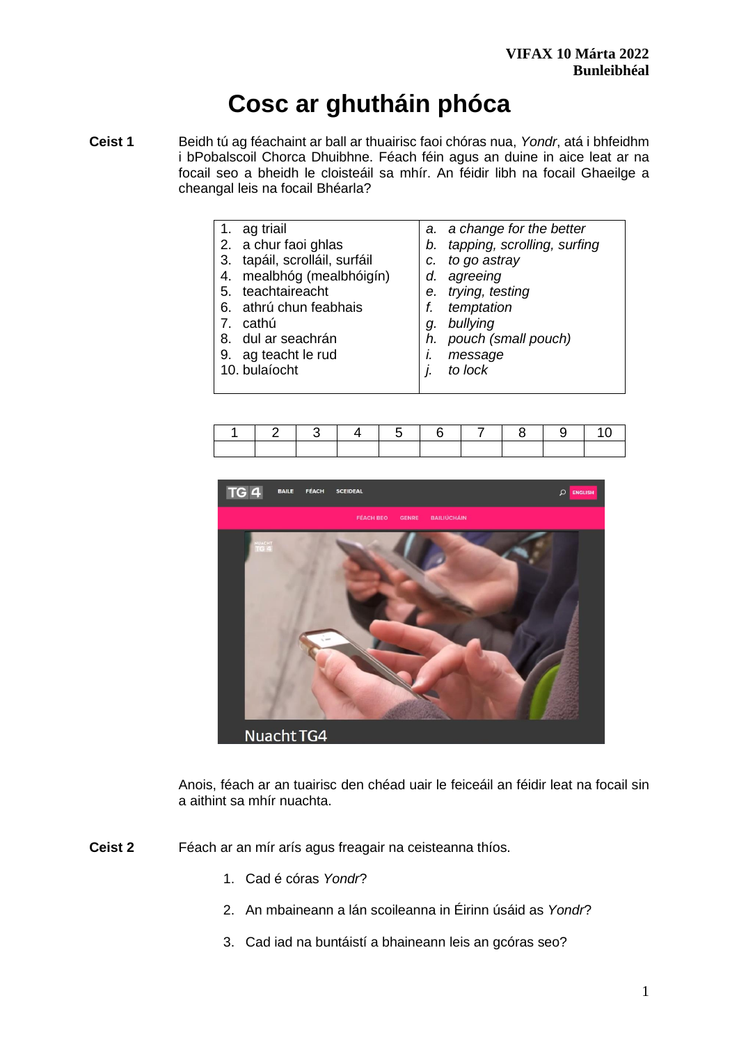# **Cosc ar ghutháin phóca**

**Ceist 1** Beidh tú ag féachaint ar ball ar thuairisc faoi chóras nua, *Yondr*, atá i bhfeidhm i bPobalscoil Chorca Dhuibhne. Féach féin agus an duine in aice leat ar na focail seo a bheidh le cloisteáil sa mhír. An féidir libh na focail Ghaeilge a cheangal leis na focail Bhéarla?

| 1. ag triail                  |    | a. a change for the better     |
|-------------------------------|----|--------------------------------|
| 2. a chur faoi ghlas          |    | b. tapping, scrolling, surfing |
| 3. tapáil, scrolláil, surfáil | C. | to go astray                   |
| 4. mealbhóg (mealbhóigín)     | d. | agreeing                       |
| 5. teachtaireacht             |    | e. trying, testing             |
| 6. athrú chun feabhais        | f. | temptation                     |
| cathú                         | a. | bullying                       |
| 8. dul ar seachrán            |    | h. pouch (small pouch)         |
| 9. ag teacht le rud           |    | message                        |
|                               |    |                                |

- 10. bulaíocht
- *j. to lock*

|  |  | 1 2 3 4 5 6 7 8 9 10 |  |  |
|--|--|----------------------|--|--|
|  |  |                      |  |  |



Anois, féach ar an tuairisc den chéad uair le feiceáil an féidir leat na focail sin a aithint sa mhír nuachta.

**Ceist 2** Féach ar an mír arís agus freagair na ceisteanna thíos.

- 1. Cad é córas *Yondr*?
- 2. An mbaineann a lán scoileanna in Éirinn úsáid as *Yondr*?
- 3. Cad iad na buntáistí a bhaineann leis an gcóras seo?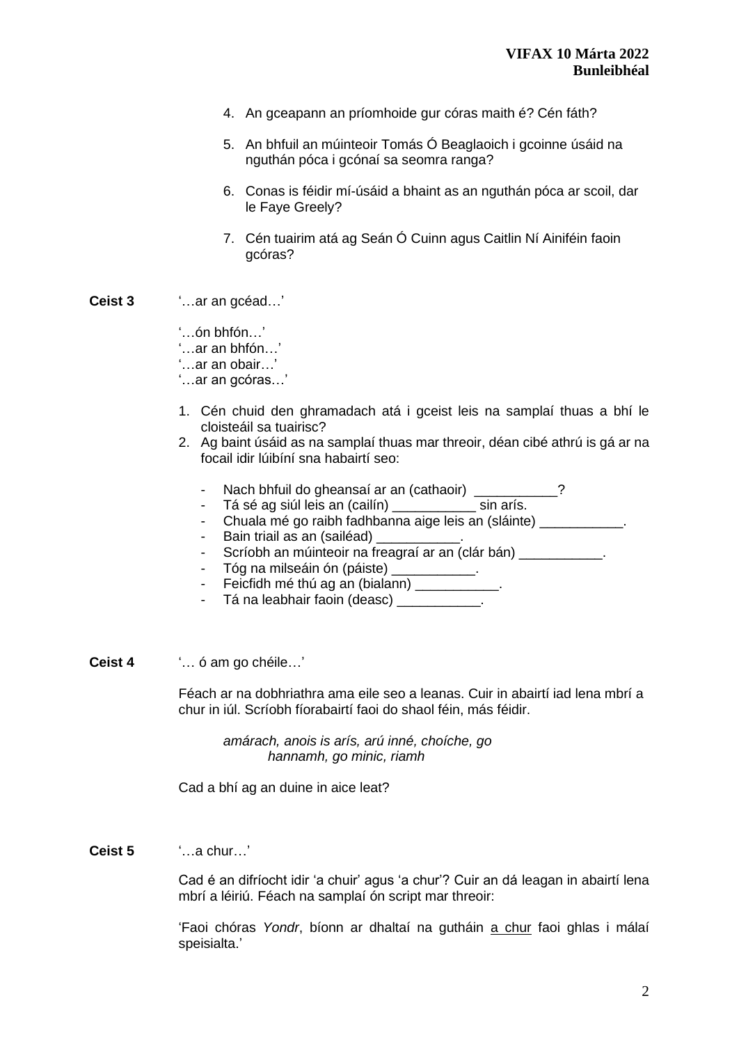- 4. An gceapann an príomhoide gur córas maith é? Cén fáth?
- 5. An bhfuil an múinteoir Tomás Ó Beaglaoich i gcoinne úsáid na nguthán póca i gcónaí sa seomra ranga?
- 6. Conas is féidir mí-úsáid a bhaint as an nguthán póca ar scoil, dar le Faye Greely?
- 7. Cén tuairim atá ag Seán Ó Cuinn agus Caitlin Ní Ainiféin faoin gcóras?
- **Ceist 3** '…ar an gcéad…'

'…ón bhfón…'

'…ar an bhfón…'

'…ar an obair…'

'…ar an gcóras…'

- 1. Cén chuid den ghramadach atá i gceist leis na samplaí thuas a bhí le cloisteáil sa tuairisc?
- 2. Ag baint úsáid as na samplaí thuas mar threoir, déan cibé athrú is gá ar na focail idir lúibíní sna habairtí seo:
	- Nach bhfuil do gheansaí ar an (cathaoir)
	- Tá sé ag siúl leis an (cailín) \_\_\_\_\_\_\_\_\_\_\_ sin arís.
	- Chuala mé go raibh fadhbanna aige leis an (sláinte) \_\_\_\_\_\_\_\_\_\_\_\_.
	- Bain triail as an (sailéad)
	- Scríobh an múinteoir na freagraí ar an (clár bán)
	- Tóg na milseáin ón (páiste)
	- Feicfidh mé thú ag an (bialann)
	- Tá na leabhair faoin (deasc) \_\_\_\_\_\_\_\_\_\_\_.
- **Ceist 4** '… ó am go chéile…'

Féach ar na dobhriathra ama eile seo a leanas. Cuir in abairtí iad lena mbrí a chur in iúl. Scríobh fíorabairtí faoi do shaol féin, más féidir.

*amárach, anois is arís, arú inné, choíche, go hannamh, go minic, riamh*

Cad a bhí ag an duine in aice leat?

**Ceist 5** '…a chur…'

Cad é an difríocht idir 'a chuir' agus 'a chur'? Cuir an dá leagan in abairtí lena mbrí a léiriú. Féach na samplaí ón script mar threoir:

'Faoi chóras *Yondr*, bíonn ar dhaltaí na gutháin a chur faoi ghlas i málaí speisialta.'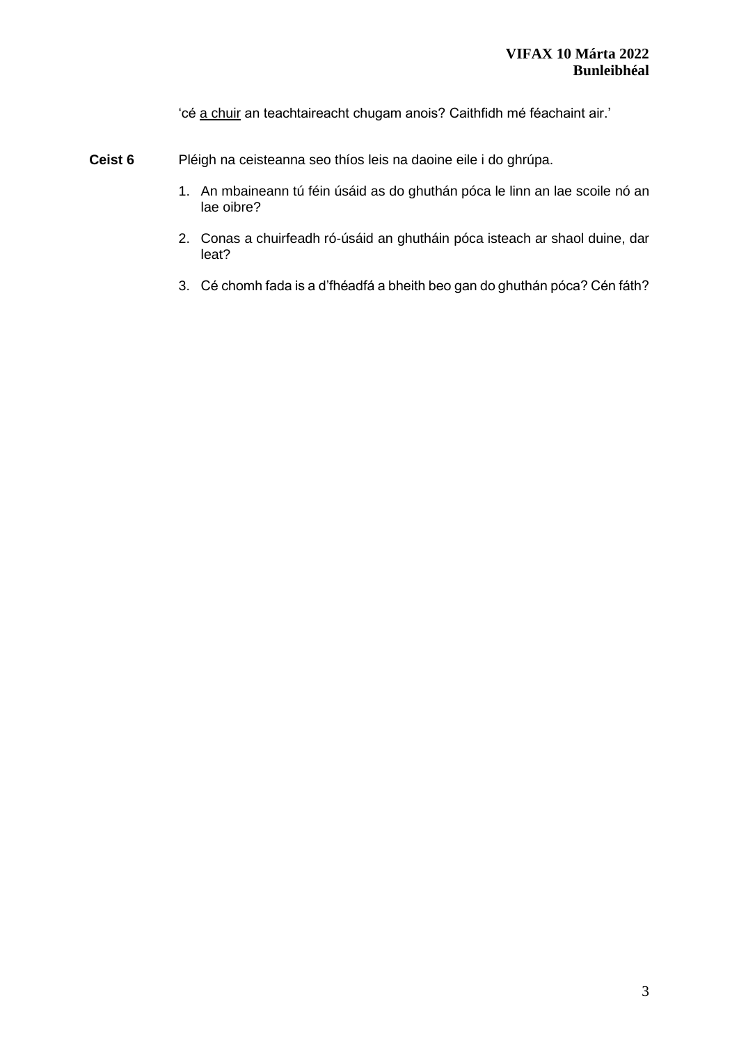'cé a chuir an teachtaireacht chugam anois? Caithfidh mé féachaint air.'

- **Ceist 6** Pléigh na ceisteanna seo thíos leis na daoine eile i do ghrúpa.
	- 1. An mbaineann tú féin úsáid as do ghuthán póca le linn an lae scoile nó an lae oibre?
	- 2. Conas a chuirfeadh ró-úsáid an ghutháin póca isteach ar shaol duine, dar leat?
	- 3. Cé chomh fada is a d'fhéadfá a bheith beo gan do ghuthán póca? Cén fáth?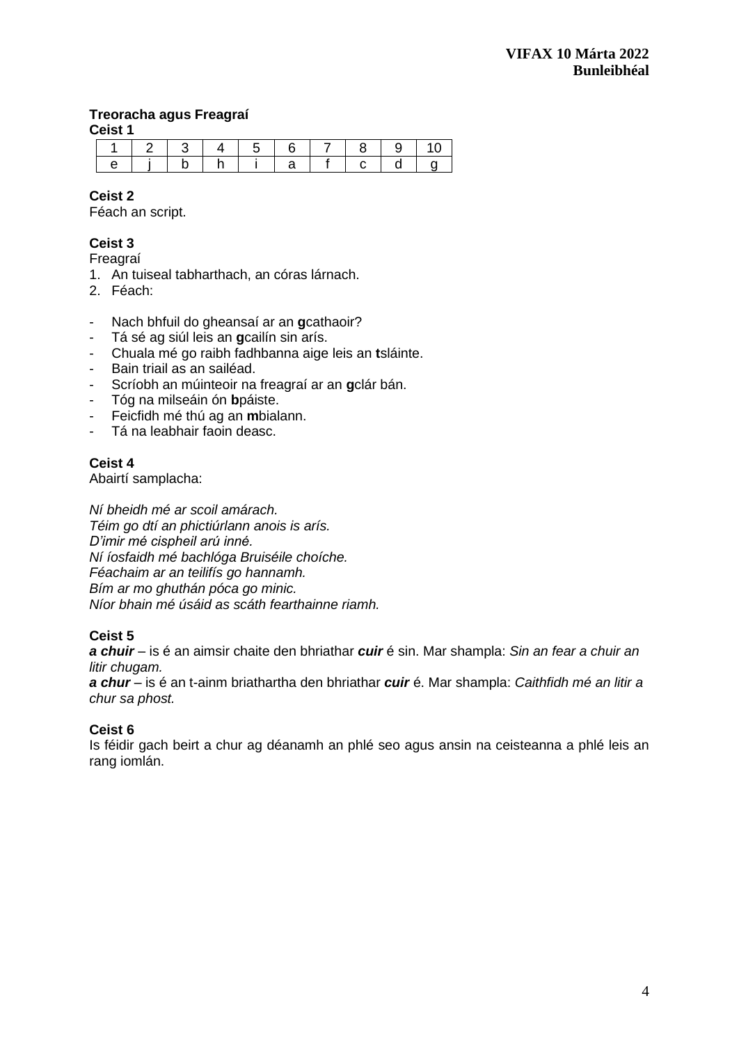# **Treoracha agus Freagraí**

**Ceist 1**

| . |  |  |  |  |  |  |  |  |  |  |
|---|--|--|--|--|--|--|--|--|--|--|
|   |  |  |  |  |  |  |  |  |  |  |
|   |  |  |  |  |  |  |  |  |  |  |

# **Ceist 2**

Féach an script.

# **Ceist 3**

Freagraí

- 1. An tuiseal tabharthach, an córas lárnach.
- 2. Féach:
- Nach bhfuil do gheansaí ar an **g**cathaoir?
- Tá sé ag siúl leis an **g**cailín sin arís.
- Chuala mé go raibh fadhbanna aige leis an **t**sláinte.
- Bain triail as an sailéad.
- Scríobh an múinteoir na freagraí ar an **g**clár bán.
- Tóg na milseáin ón **b**páiste.
- Feicfidh mé thú ag an **m**bialann.
- Tá na leabhair faoin deasc.

# **Ceist 4**

Abairtí samplacha:

*Ní bheidh mé ar scoil amárach. Téim go dtí an phictiúrlann anois is arís. D'imir mé cispheil arú inné. Ní íosfaidh mé bachlóga Bruiséile choíche. Féachaim ar an teilifís go hannamh. Bím ar mo ghuthán póca go minic. Níor bhain mé úsáid as scáth fearthainne riamh.*

# **Ceist 5**

*a chuir* – is é an aimsir chaite den bhriathar *cuir* é sin. Mar shampla: *Sin an fear a chuir an litir chugam.*

*a chur* – is é an t-ainm briathartha den bhriathar *cuir* é. Mar shampla: *Caithfidh mé an litir a chur sa phost.* 

# **Ceist 6**

Is féidir gach beirt a chur ag déanamh an phlé seo agus ansin na ceisteanna a phlé leis an rang iomlán.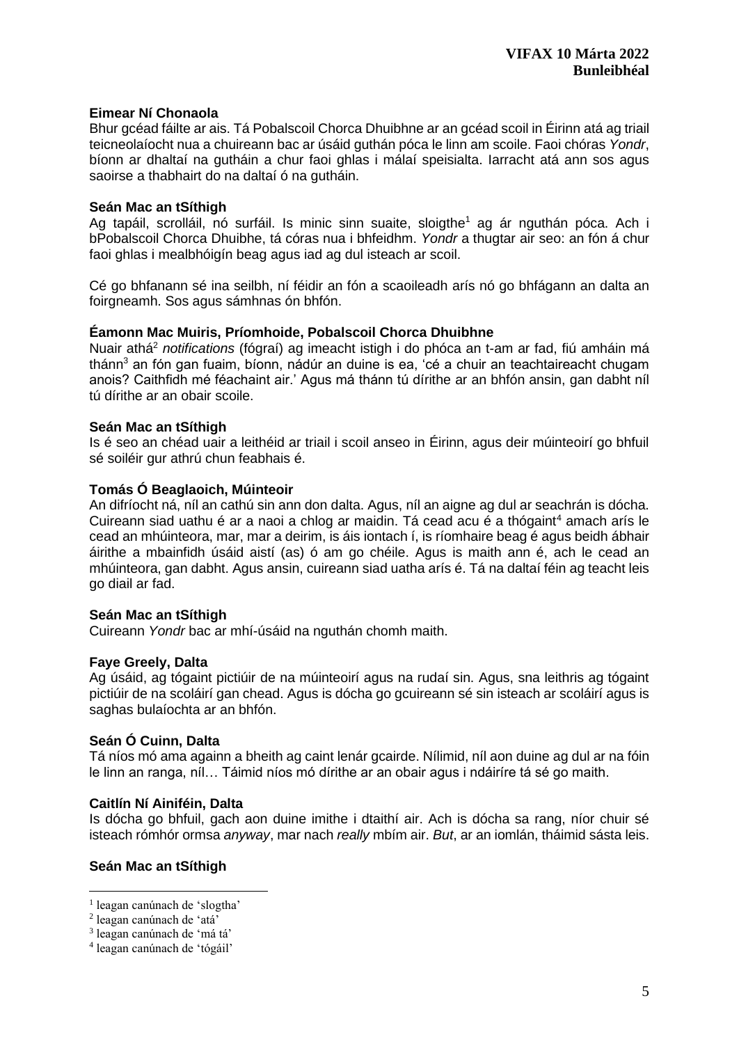# **Eimear Ní Chonaola**

Bhur gcéad fáilte ar ais. Tá Pobalscoil Chorca Dhuibhne ar an gcéad scoil in Éirinn atá ag triail teicneolaíocht nua a chuireann bac ar úsáid guthán póca le linn am scoile. Faoi chóras *Yondr*, bíonn ar dhaltaí na gutháin a chur faoi ghlas i málaí speisialta. Iarracht atá ann sos agus saoirse a thabhairt do na daltaí ó na gutháin.

#### **Seán Mac an tSíthigh**

Ag tapáil, scrolláil, nó surfáil. Is minic sinn suaite, sloigthe<sup>1</sup> ag ár nguthán póca. Ach i bPobalscoil Chorca Dhuibhe, tá córas nua i bhfeidhm. *Yondr* a thugtar air seo: an fón á chur faoi ghlas i mealbhóigín beag agus iad ag dul isteach ar scoil.

Cé go bhfanann sé ina seilbh, ní féidir an fón a scaoileadh arís nó go bhfágann an dalta an foirgneamh. Sos agus sámhnas ón bhfón.

#### **Éamonn Mac Muiris, Príomhoide, Pobalscoil Chorca Dhuibhne**

Nuair athá <sup>2</sup> *notifications* (fógraí) ag imeacht istigh i do phóca an t-am ar fad, fiú amháin má thánn<sup>3</sup> an fón gan fuaim, bíonn, nádúr an duine is ea, 'cé a chuir an teachtaireacht chugam anois? Caithfidh mé féachaint air.' Agus má thánn tú dírithe ar an bhfón ansin, gan dabht níl tú dírithe ar an obair scoile.

#### **Seán Mac an tSíthigh**

Is é seo an chéad uair a leithéid ar triail i scoil anseo in Éirinn, agus deir múinteoirí go bhfuil sé soiléir gur athrú chun feabhais é.

# **Tomás Ó Beaglaoich, Múinteoir**

An difríocht ná, níl an cathú sin ann don dalta. Agus, níl an aigne ag dul ar seachrán is dócha. Cuireann siad uathu é ar a naoi a chlog ar maidin. Tá cead acu é a thógaint<sup>4</sup> amach arís le cead an mhúinteora, mar, mar a deirim, is áis iontach í, is ríomhaire beag é agus beidh ábhair áirithe a mbainfidh úsáid aistí (as) ó am go chéile. Agus is maith ann é, ach le cead an mhúinteora, gan dabht. Agus ansin, cuireann siad uatha arís é. Tá na daltaí féin ag teacht leis go diail ar fad.

#### **Seán Mac an tSíthigh**

Cuireann *Yondr* bac ar mhí-úsáid na nguthán chomh maith.

#### **Faye Greely, Dalta**

Ag úsáid, ag tógaint pictiúir de na múinteoirí agus na rudaí sin. Agus, sna leithris ag tógaint pictiúir de na scoláirí gan chead. Agus is dócha go gcuireann sé sin isteach ar scoláirí agus is saghas bulaíochta ar an bhfón.

#### **Seán Ó Cuinn, Dalta**

Tá níos mó ama againn a bheith ag caint lenár gcairde. Nílimid, níl aon duine ag dul ar na fóin le linn an ranga, níl… Táimid níos mó dírithe ar an obair agus i ndáiríre tá sé go maith.

#### **Caitlín Ní Ainiféin, Dalta**

Is dócha go bhfuil, gach aon duine imithe i dtaithí air. Ach is dócha sa rang, níor chuir sé isteach rómhór ormsa *anyway*, mar nach *really* mbím air. *But*, ar an iomlán, tháimid sásta leis.

# **Seán Mac an tSíthigh**

<sup>&</sup>lt;sup>1</sup> leagan canúnach de 'slogtha'

<sup>2</sup> leagan canúnach de 'atá'

<sup>3</sup> leagan canúnach de 'má tá'

<sup>4</sup> leagan canúnach de 'tógáil'